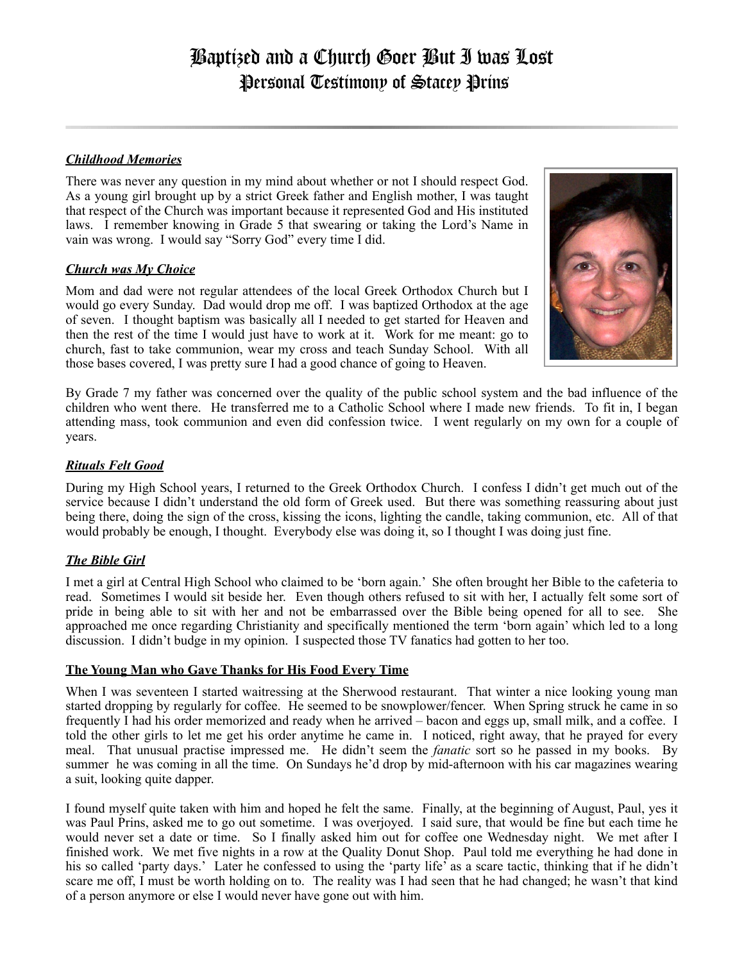# *Childhood Memories*

There was never any question in my mind about whether or not I should respect God. As a young girl brought up by a strict Greek father and English mother, I was taught that respect of the Church was important because it represented God and His instituted laws. I remember knowing in Grade 5 that swearing or taking the Lord's Name in vain was wrong. I would say "Sorry God" every time I did.

## *Church was My Choice*

Mom and dad were not regular attendees of the local Greek Orthodox Church but I would go every Sunday. Dad would drop me off. I was baptized Orthodox at the age of seven. I thought baptism was basically all I needed to get started for Heaven and then the rest of the time I would just have to work at it. Work for me meant: go to church, fast to take communion, wear my cross and teach Sunday School. With all those bases covered, I was pretty sure I had a good chance of going to Heaven.



By Grade 7 my father was concerned over the quality of the public school system and the bad influence of the children who went there. He transferred me to a Catholic School where I made new friends. To fit in, I began attending mass, took communion and even did confession twice. I went regularly on my own for a couple of years.

## *Rituals Felt Good*

During my High School years, I returned to the Greek Orthodox Church. I confess I didn't get much out of the service because I didn't understand the old form of Greek used. But there was something reassuring about just being there, doing the sign of the cross, kissing the icons, lighting the candle, taking communion, etc. All of that would probably be enough, I thought. Everybody else was doing it, so I thought I was doing just fine.

# *The Bible Girl*

I met a girl at Central High School who claimed to be 'born again.' She often brought her Bible to the cafeteria to read. Sometimes I would sit beside her. Even though others refused to sit with her, I actually felt some sort of pride in being able to sit with her and not be embarrassed over the Bible being opened for all to see. She approached me once regarding Christianity and specifically mentioned the term 'born again' which led to a long discussion. I didn't budge in my opinion. I suspected those TV fanatics had gotten to her too.

### **The Young Man who Gave Thanks for His Food Every Time**

When I was seventeen I started waitressing at the Sherwood restaurant. That winter a nice looking young man started dropping by regularly for coffee. He seemed to be snowplower/fencer. When Spring struck he came in so frequently I had his order memorized and ready when he arrived – bacon and eggs up, small milk, and a coffee. I told the other girls to let me get his order anytime he came in. I noticed, right away, that he prayed for every meal. That unusual practise impressed me. He didn't seem the *fanatic* sort so he passed in my books. By summer he was coming in all the time. On Sundays he'd drop by mid-afternoon with his car magazines wearing a suit, looking quite dapper.

I found myself quite taken with him and hoped he felt the same. Finally, at the beginning of August, Paul, yes it was Paul Prins, asked me to go out sometime. I was overjoyed. I said sure, that would be fine but each time he would never set a date or time. So I finally asked him out for coffee one Wednesday night. We met after I finished work. We met five nights in a row at the Quality Donut Shop. Paul told me everything he had done in his so called 'party days.' Later he confessed to using the 'party life' as a scare tactic, thinking that if he didn't scare me off, I must be worth holding on to. The reality was I had seen that he had changed; he wasn't that kind of a person anymore or else I would never have gone out with him.